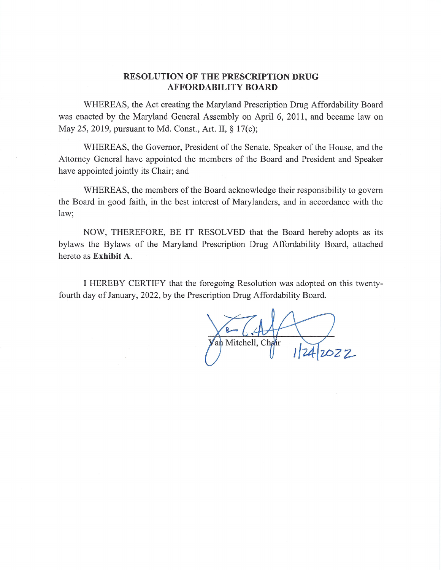#### **RESOLUTION OF THE PRESCRIPTION DRUG AFFORDABILITY BOARD**

WHEREAS, the Act creating the Maryland Prescription Drug Affordability Board was enacted by the Maryland General Assembly on April 6, 2011, and became law on May 25, 2019, pursuant to Md. Const., Art. II, § 17(c);

WHEREAS, the Governor, President of the Senate, Speaker of the House, and the Attorney General have appointed the members of the Board and President and Speaker have appointed jointly its Chair; and

WHEREAS, the members of the Board acknowledge their responsibility to govern the Board in good faith, in the best interest of Marylanders, and in accordance with the law;

NOW, THEREFORE, BE IT RESOLVED that the Board hereby adopts as its bylaws the Bylaws of the Maryland Prescription Drug Affordability Board, attached hereto as Exhibit A.

I HEREBY CERTIFY that the foregoing Resolution was adopted on this twentyfourth day of January, 2022, by the Prescription Drug Affordability Board.

an Mitchell, Chair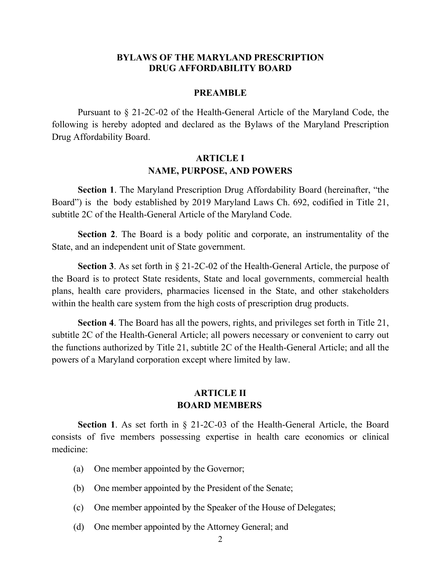#### **BYLAWS OF THE MARYLAND PRESCRIPTION DRUG AFFORDABILITY BOARD**

#### **PREAMBLE**

Pursuant to § 21-2C-02 of the Health-General Article of the Maryland Code, the following is hereby adopted and declared as the Bylaws of the Maryland Prescription Drug Affordability Board.

### **ARTICLE I NAME, PURPOSE, AND POWERS**

**Section 1**. The Maryland Prescription Drug Affordability Board (hereinafter, "the Board") is the body established by 2019 Maryland Laws Ch. 692, codified in Title 21, subtitle 2C of the Health-General Article of the Maryland Code.

**Section 2**. The Board is a body politic and corporate, an instrumentality of the State, and an independent unit of State government.

**Section 3**. As set forth in § 21-2C-02 of the Health-General Article, the purpose of the Board is to protect State residents, State and local governments, commercial health plans, health care providers, pharmacies licensed in the State, and other stakeholders within the health care system from the high costs of prescription drug products.

**Section 4**. The Board has all the powers, rights, and privileges set forth in Title 21, subtitle 2C of the Health-General Article; all powers necessary or convenient to carry out the functions authorized by Title 21, subtitle 2C of the Health-General Article; and all the powers of a Maryland corporation except where limited by law.

#### **ARTICLE II BOARD MEMBERS**

**Section 1**. As set forth in § 21-2C-03 of the Health-General Article, the Board consists of five members possessing expertise in health care economics or clinical medicine:

- (a) One member appointed by the Governor;
- (b) One member appointed by the President of the Senate;
- (c) One member appointed by the Speaker of the House of Delegates;
- (d) One member appointed by the Attorney General; and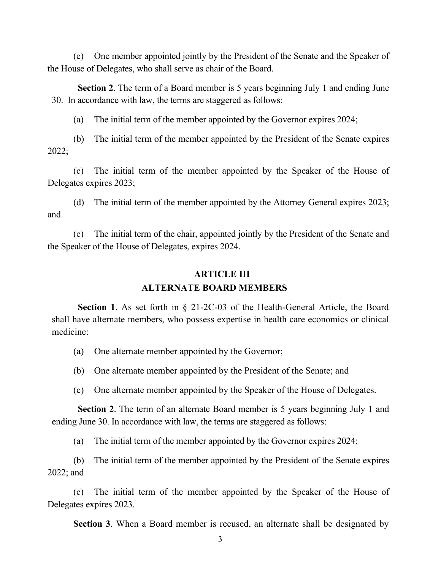(e) One member appointed jointly by the President of the Senate and the Speaker of the House of Delegates, who shall serve as chair of the Board.

**Section 2**. The term of a Board member is 5 years beginning July 1 and ending June 30. In accordance with law, the terms are staggered as follows:

(a) The initial term of the member appointed by the Governor expires 2024;

(b) The initial term of the member appointed by the President of the Senate expires 2022;

(c) The initial term of the member appointed by the Speaker of the House of Delegates expires 2023;

(d) The initial term of the member appointed by the Attorney General expires 2023; and

(e) The initial term of the chair, appointed jointly by the President of the Senate and the Speaker of the House of Delegates, expires 2024.

# **ARTICLE III ALTERNATE BOARD MEMBERS**

**Section 1**. As set forth in § 21-2C-03 of the Health-General Article, the Board shall have alternate members, who possess expertise in health care economics or clinical medicine:

- (a) One alternate member appointed by the Governor;
- (b) One alternate member appointed by the President of the Senate; and
- (c) One alternate member appointed by the Speaker of the House of Delegates.

**Section 2**. The term of an alternate Board member is 5 years beginning July 1 and ending June 30. In accordance with law, the terms are staggered as follows:

(a) The initial term of the member appointed by the Governor expires 2024;

(b) The initial term of the member appointed by the President of the Senate expires 2022; and

(c) The initial term of the member appointed by the Speaker of the House of Delegates expires 2023.

**Section 3**. When a Board member is recused, an alternate shall be designated by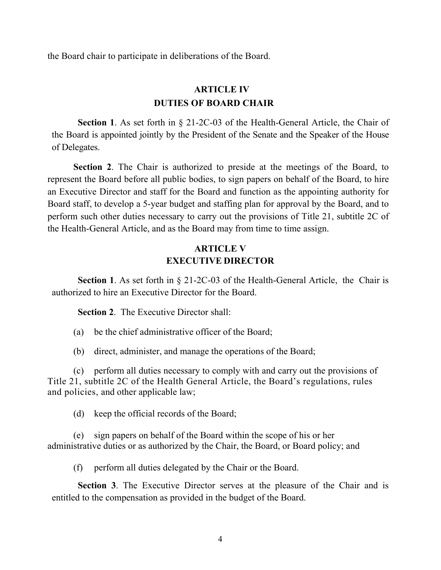the Board chair to participate in deliberations of the Board.

# **ARTICLE IV DUTIES OF BOARD CHAIR**

**Section 1**. As set forth in § 21-2C-03 of the Health-General Article, the Chair of the Board is appointed jointly by the President of the Senate and the Speaker of the House of Delegates.

**Section 2**. The Chair is authorized to preside at the meetings of the Board, to represent the Board before all public bodies, to sign papers on behalf of the Board, to hire an Executive Director and staff for the Board and function as the appointing authority for Board staff, to develop a 5-year budget and staffing plan for approval by the Board, and to perform such other duties necessary to carry out the provisions of Title 21, subtitle 2C of the Health-General Article, and as the Board may from time to time assign.

### **ARTICLE V EXECUTIVE DIRECTOR**

**Section 1**. As set forth in § 21-2C-03 of the Health-General Article, the Chair is authorized to hire an Executive Director for the Board.

**Section 2**. The Executive Director shall:

(a) be the chief administrative officer of the Board;

(b) direct, administer, and manage the operations of the Board;

(c) perform all duties necessary to comply with and carry out the provisions of Title 21, subtitle 2C of the Health General Article, the Board's regulations, rules and policies, and other applicable law;

(d) keep the official records of the Board;

(e) sign papers on behalf of the Board within the scope of his or her administrative duties or as authorized by the Chair, the Board, or Board policy; and

(f) perform all duties delegated by the Chair or the Board.

**Section 3**. The Executive Director serves at the pleasure of the Chair and is entitled to the compensation as provided in the budget of the Board.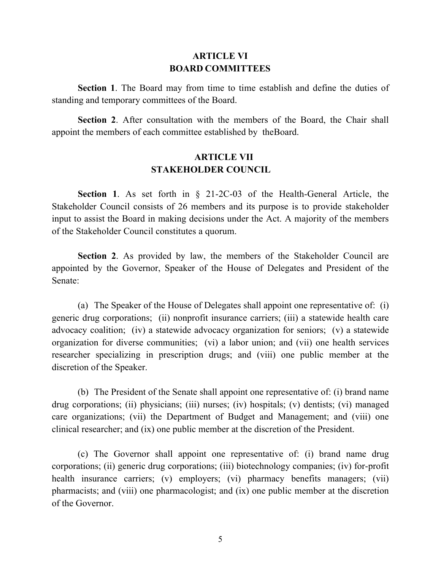#### **ARTICLE VI BOARD COMMITTEES**

**Section 1**. The Board may from time to time establish and define the duties of standing and temporary committees of the Board.

**Section 2**. After consultation with the members of the Board, the Chair shall appoint the members of each committee established by theBoard.

## **ARTICLE VII STAKEHOLDER COUNCIL**

**Section 1**. As set forth in § 21-2C-03 of the Health-General Article, the Stakeholder Council consists of 26 members and its purpose is to provide stakeholder input to assist the Board in making decisions under the Act. A majority of the members of the Stakeholder Council constitutes a quorum.

**Section 2**. As provided by law, the members of the Stakeholder Council are appointed by the Governor, Speaker of the House of Delegates and President of the Senate:

(a) The Speaker of the House of Delegates shall appoint one representative of: (i) generic drug corporations; (ii) nonprofit insurance carriers; (iii) a statewide health care advocacy coalition; (iv) a statewide advocacy organization for seniors; (v) a statewide organization for diverse communities; (vi) a labor union; and (vii) one health services researcher specializing in prescription drugs; and (viii) one public member at the discretion of the Speaker.

(b) The President of the Senate shall appoint one representative of: (i) brand name drug corporations; (ii) physicians; (iii) nurses; (iv) hospitals; (v) dentists; (vi) managed care organizations; (vii) the Department of Budget and Management; and (viii) one clinical researcher; and (ix) one public member at the discretion of the President.

(c) The Governor shall appoint one representative of: (i) brand name drug corporations; (ii) generic drug corporations; (iii) biotechnology companies; (iv) for-profit health insurance carriers; (v) employers; (vi) pharmacy benefits managers; (vii) pharmacists; and (viii) one pharmacologist; and (ix) one public member at the discretion of the Governor.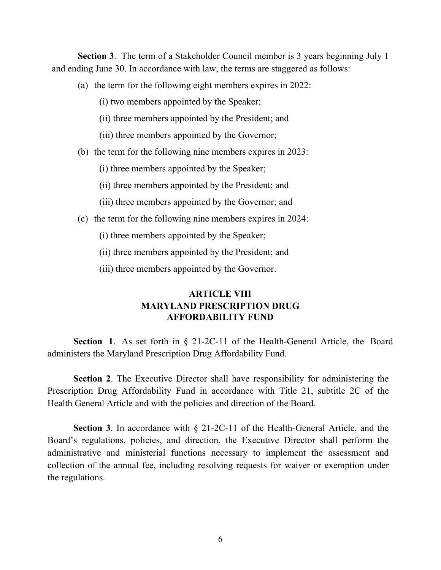**Section 3**. The term of a Stakeholder Council member is 3 years beginning July 1 and ending June 30. In accordance with law, the terms are staggered as follows:

- (a) the term for the following eight members expires in 2022:
	- (i) two members appointed by the Speaker;
	- (ii) three members appointed by the President; and
	- (iii) three members appointed by the Governor;
- (b) the term for the following nine members expires in 2023:
	- (i) three members appointed by the Speaker;
	- (ii) three members appointed by the President; and
	- (iii) three members appointed by the Governor; and
- (c) the term for the following nine members expires in 2024:
	- (i) three members appointed by the Speaker;
	- (ii) three members appointed by the President; and
	- (iii) three members appointed by the Governor.

## **ARTICLE VIII MARYLAND PRESCRIPTION DRUG AFFORDABILITY FUND**

**Section 1**. As set forth in § 21-2C-11 of the Health-General Article, the Board administers the Maryland Prescription Drug Affordability Fund.

**Section 2**. The Executive Director shall have responsibility for administering the Prescription Drug Affordability Fund in accordance with Title 21, subtitle 2C of the Health General Article and with the policies and direction of the Board.

**Section 3**. In accordance with § 21-2C-11 of the Health-General Article, and the Board's regulations, policies, and direction, the Executive Director shall perform the administrative and ministerial functions necessary to implement the assessment and collection of the annual fee, including resolving requests for waiver or exemption under the regulations.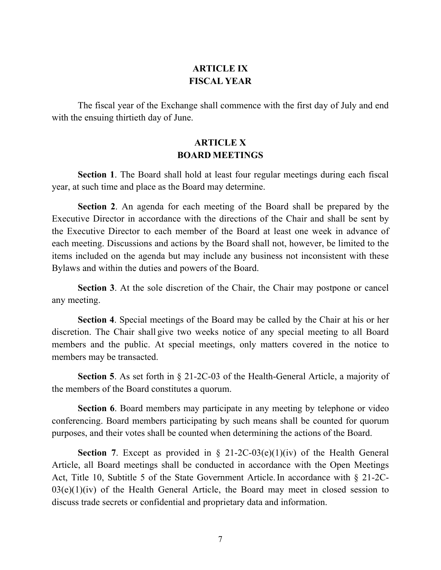# **ARTICLE IX FISCAL YEAR**

The fiscal year of the Exchange shall commence with the first day of July and end with the ensuing thirtieth day of June.

## **ARTICLE X BOARD MEETINGS**

**Section 1**. The Board shall hold at least four regular meetings during each fiscal year, at such time and place as the Board may determine.

**Section 2**. An agenda for each meeting of the Board shall be prepared by the Executive Director in accordance with the directions of the Chair and shall be sent by the Executive Director to each member of the Board at least one week in advance of each meeting. Discussions and actions by the Board shall not, however, be limited to the items included on the agenda but may include any business not inconsistent with these Bylaws and within the duties and powers of the Board.

**Section 3**. At the sole discretion of the Chair, the Chair may postpone or cancel any meeting.

**Section 4**. Special meetings of the Board may be called by the Chair at his or her discretion. The Chair shall give two weeks notice of any special meeting to all Board members and the public. At special meetings, only matters covered in the notice to members may be transacted.

**Section 5**. As set forth in § 21-2C-03 of the Health-General Article, a majority of the members of the Board constitutes a quorum.

**Section 6**. Board members may participate in any meeting by telephone or video conferencing. Board members participating by such means shall be counted for quorum purposes, and their votes shall be counted when determining the actions of the Board.

**Section 7.** Except as provided in  $\S$  21-2C-03(e)(1)(iv) of the Health General Article, all Board meetings shall be conducted in accordance with the Open Meetings Act, Title 10, Subtitle 5 of the State Government Article.In accordance with § 21-2C- $03(e)(1)(iv)$  of the Health General Article, the Board may meet in closed session to discuss trade secrets or confidential and proprietary data and information.